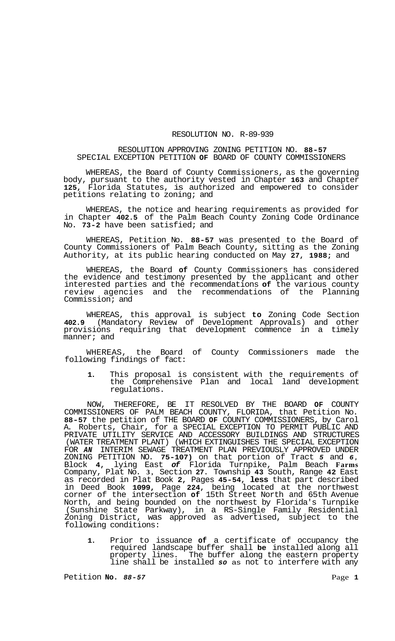## RESOLUTION NO. R-89-939

## RESOLUTION APPROVING ZONING PETITION NO. **88-57**  SPECIAL EXCEPTION PETITION **OF** BOARD OF COUNTY COMMISSIONERS

WHEREAS, the Board of County Commissioners, as the governing body, pursuant to the authority vested in Chapter **163** and Chapter **125,** Florida Statutes, is authorized and empowered to consider petitions relating to zoning; and

WHEREAS, the notice and hearing requirements as provided for in Chapter **402.5** of the Palm Beach County Zoning Code Ordinance No. **73-2** have been satisfied; and

WHEREAS, Petition No. **88-57** was presented to the Board of County Commissioners of Palm Beach County, sitting as the Zoning Authority, at its public hearing conducted on May **27, 1988;** and

WHEREAS, the Board **of** County Commissioners has considered the evidence and testimony presented by the applicant and other interested parties and the recommendations **of** the various county review agencies and the recommendations of the Planning Commission; and

WHEREAS, this approval is subject **to** Zoning Code Section **402.9** (Mandatory Review of Development Approvals) and other provisions requiring that development commence in a timely manner; and

WHEREAS, the Board of County Commissioners made the following findings of fact:

**1.** This proposal is consistent with the requirements of the Comprehensive Plan and local land development regulations.

NOW, THEREFORE, BE IT RESOLVED BY THE BOARD **OF** COUNTY COMMISSIONERS OF PALM BEACH COUNTY, FLORIDA, that Petition No. **88-57** the petition of THE BOARD **OF** COUNTY COMMISSIONERS, by Carol A. Roberts, Chair, for a SPECIAL EXCEPTION TO PERMIT PUBLIC AND PRIVATE UTILITY SERVICE AND ACCESSORY BUILDINGS AND STRUCTURES (WATER TREATMENT PLANT) (WHICH EXTINGUISHES THE SPECIAL EXCEPTION FOR *AN* INTERIM SEWAGE TREATMENT PLAN PREVIOUSLY APPROVED UNDER ZONING PETITION NO. **75-107)** on that portion of Tract *5* and *6,*  Block **4,** lying East *of* Florida Turnpike, Palm Beach **Farms**  Company, Plat No. **3,** Section **27.** Township **43** South, Range **42** East as recorded in Plat Book **2,** Pages **45-54, less** that part described in Deed Book **1099,** Page **224,** being located at the northwest corner of the intersection **of** 15th Street North and 65th Avenue North, and being bounded on the northwest by Florida's Turnpike (Sunshine State Parkway), in a RS-Single Family Residential Zoning District, was approved as advertised, subject to the following conditions:

**1.** Prior to issuance **of** a certificate of occupancy the required landscape buffer shall **be** installed along all property lines. The buffer along the eastern property line shall be installed *so* as not to interfere with any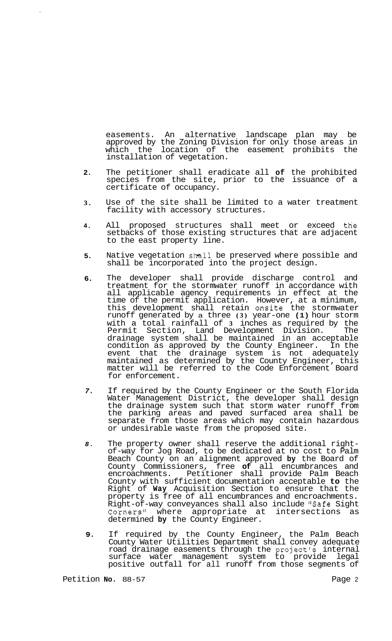easements. An alternative landscape plan may be approved by the Zoning Division for only those areas in which the location of the easement prohibits the installation of vegetation.

- **2.**  The petitioner shall eradicate all **of** the prohibited species from the site, prior to the issuance of a certificate of occupancy.
- **3.**  Use of the site shall be limited to a water treatment facility with accessory structures.
- **4.**  All proposed structures shall meet or exceed the setbacks of those existing structures that are adjacent to the east property line.
- **5.**  Native vegetation shall be preserved where possible and shall be incorporated into the project design.
- **6.**  The developer shall provide discharge control and treatment for the stormwater runoff in accordance with all applicable agency requirements in effect at the time of the permit application. However, at a minimum, this development shall retain onsite the stormwater runoff generated by a three **(3)** year-one **(1)** hour storm with a total rainfall of **3** inches as required by the Permit Section, Land Development Division. The drainage system shall be maintained in an acceptable condition as approved by the County Engineer. In the event that the drainage system is not adequately maintained as determined by the County Engineer, this matter will be referred to the Code Enforcement Board for enforcement.
- *7.*  If required by the County Engineer or the South Florida Water Management District, the developer shall design the drainage system such that storm water runoff from the parking areas and paved surfaced area shall be separate from those areas which may contain hazardous or undesirable waste from the proposed site.
- *8.*  The property owner shall reserve the additional right- of-way for Jog Road, to be dedicated at no cost to Palm Beach County on an alignment approved **by** the Board of County Commissioners, free **of** all encumbrances and encroachments. Petitioner shall provide Palm Beach County with sufficient documentation acceptable **to** the Right of **Way** Acquisition Section to ensure that the property is free of all encumbrances and encroachments. Right-of-way conveyances shall also include "Safe Sight Corners<sup>"</sup> where appropriate at intersections as corners" where appropriate at<br>determined by the County Engineer.
- **9.**  If required by the County Engineer, the Palm Beach County Water Utilities Department shall convey adequate road drainage easements through the project's internal surface water management system to provide legal positive outfall for all runoff from those segments of